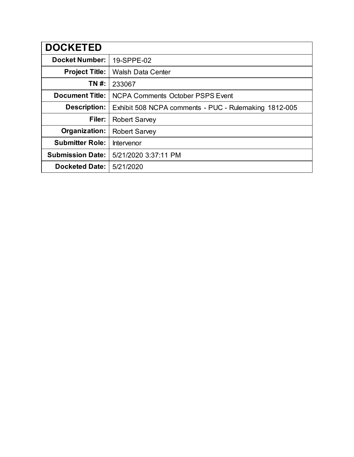| <b>DOCKETED</b>         |                                                       |
|-------------------------|-------------------------------------------------------|
| <b>Docket Number:</b>   | 19-SPPE-02                                            |
| <b>Project Title:</b>   | <b>Walsh Data Center</b>                              |
| TN #:                   | 233067                                                |
| <b>Document Title:</b>  | <b>NCPA Comments October PSPS Event</b>               |
| <b>Description:</b>     | Exhibit 508 NCPA comments - PUC - Rulemaking 1812-005 |
| Filer:                  | <b>Robert Sarvey</b>                                  |
| Organization:           | <b>Robert Sarvey</b>                                  |
| <b>Submitter Role:</b>  | Intervenor                                            |
| <b>Submission Date:</b> | 5/21/2020 3:37:11 PM                                  |
| <b>Docketed Date:</b>   | 5/21/2020                                             |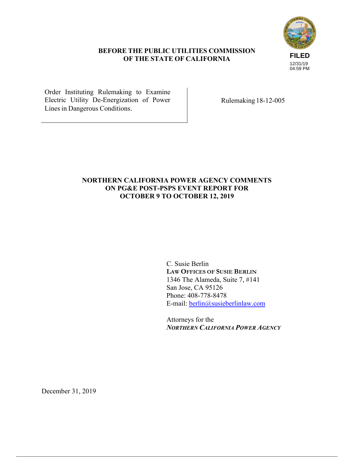# **FILED** 12/31/19 04:59 PM

# **BEFORE THE PUBLIC UTILITIES COMMISSION OF THE STATE OF CALIFORNIA**

Order Instituting Rulemaking to Examine Electric Utility De-Energization of Power Lines in Dangerous Conditions.

Rulemaking 18-12-005

# **NORTHERN CALIFORNIA POWER AGENCY COMMENTS ON PG&E POST-PSPS EVENT REPORT FOR OCTOBER 9 TO OCTOBER 12, 2019**

C. Susie Berlin **LAW OFFICES OF SUSIE BERLIN** 1346 The Alameda, Suite 7, #141 San Jose, CA 95126 Phone: 408-778-8478 E-mail: berlin@susieberlinlaw.com

Attorneys for the *NORTHERN CALIFORNIA POWER AGENCY* 

December 31, 2019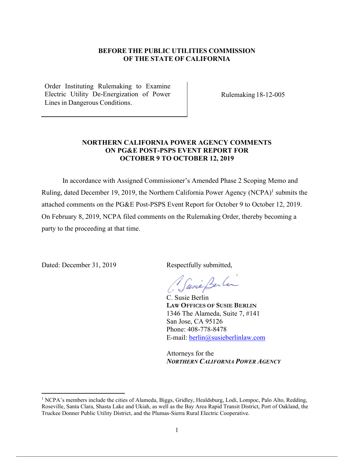#### **BEFORE THE PUBLIC UTILITIES COMMISSION OF THE STATE OF CALIFORNIA**

Order Instituting Rulemaking to Examine Electric Utility De-Energization of Power Lines in Dangerous Conditions.

Rulemaking 18-12-005

#### **NORTHERN CALIFORNIA POWER AGENCY COMMENTS ON PG&E POST-PSPS EVENT REPORT FOR OCTOBER 9 TO OCTOBER 12, 2019**

In accordance with Assigned Commissioner's Amended Phase 2 Scoping Memo and Ruling, dated December 19, 2019, the Northern California Power Agency (NCPA)<sup>1</sup> submits the attached comments on the PG&E Post-PSPS Event Report for October 9 to October 12, 2019. On February 8, 2019, NCPA filed comments on the Rulemaking Order, thereby becoming a party to the proceeding at that time.

Dated: December 31, 2019 Respectfully submitted,

Jusie Berlin

C. Susie Berlin **LAW OFFICES OF SUSIE BERLIN** 1346 The Alameda, Suite 7, #141 San Jose, CA 95126 Phone: 408-778-8478 E-mail: berlin@susieberlinlaw.com

Attorneys for the *NORTHERN CALIFORNIA POWER AGENCY* 

<sup>&</sup>lt;sup>1</sup> NCPA's members include the cities of Alameda, Biggs, Gridley, Healdsburg, Lodi, Lompoc, Palo Alto, Redding, Roseville, Santa Clara, Shasta Lake and Ukiah, as well as the Bay Area Rapid Transit District, Port of Oakland, the Truckee Donner Public Utility District, and the Plumas-Sierra Rural Electric Cooperative.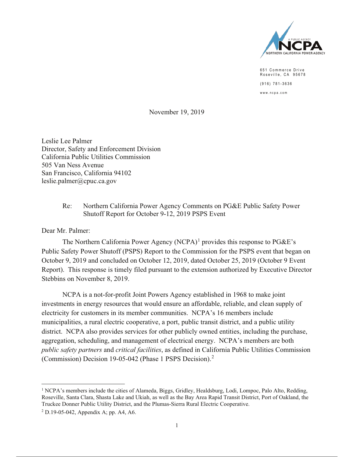

651 Commerce Drive Roseville, CA 95678  $(916) 781 - 3636$ www.ncpa.com

November 19, 2019

Leslie Lee Palmer Director, Safety and Enforcement Division California Public Utilities Commission 505 Van Ness Avenue San Francisco, California 94102 leslie.palmer@cpuc.ca.gov

#### $Re<sup>2</sup>$ Northern California Power Agency Comments on PG&E Public Safety Power Shutoff Report for October 9-12, 2019 PSPS Event

Dear Mr. Palmer:

The Northern California Power Agency (NCPA)<sup>1</sup> provides this response to  $P G \& E$ 's Public Safety Power Shutoff (PSPS) Report to the Commission for the PSPS event that began on October 9, 2019 and concluded on October 12, 2019, dated October 25, 2019 (October 9 Event Report). This response is timely filed pursuant to the extension authorized by Executive Director Stebbins on November 8, 2019.

NCPA is a not-for-profit Joint Powers Agency established in 1968 to make joint investments in energy resources that would ensure an affordable, reliable, and clean supply of electricity for customers in its member communities. NCPA's 16 members include municipalities, a rural electric cooperative, a port, public transit district, and a public utility district. NCPA also provides services for other publicly owned entities, including the purchase, aggregation, scheduling, and management of electrical energy. NCPA's members are both *public safety partners* and *critical facilities*, as defined in California Public Utilities Commission (Commission) Decision 19-05-042 (Phase 1 PSPS Decision).<sup>2</sup>

<sup>&</sup>lt;sup>1</sup> NCPA's members include the cities of Alameda, Biggs, Gridley, Healdsburg, Lodi, Lompoc, Palo Alto, Redding, Roseville, Santa Clara, Shasta Lake and Ukiah, as well as the Bay Area Rapid Transit District, Port of Oakland, the Truckee Donner Public Utility District, and the Plumas-Sierra Rural Electric Cooperative.

<sup>&</sup>lt;sup>2</sup> D.19-05-042, Appendix A; pp. A4, A6.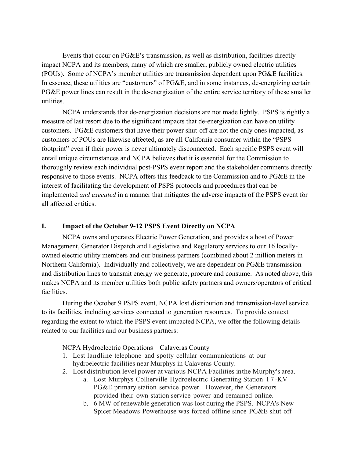Events that occur on PG&E's transmission, as well as distribution, facilities directly impact NCPA and its members, many of which are smaller, publicly owned electric utilities (POUs). Some of NCPA's member utilities are transmission dependent upon PG&E facilities. In essence, these utilities are "customers" of PG&E, and in some instances, de-energizing certain PG&E power lines can result in the de-energization of the entire service territory of these smaller utilities.

NCPA understands that de-energization decisions are not made lightly. PSPS is rightly a measure of last resort due to the significant impacts that de-energization can have on utility customers. PG&E customers that have their power shut-off are not the only ones impacted, as customers of POUs are likewise affected, as are all California consumer within the "PSPS footprint" even if their power is never ultimately disconnected. Each specific PSPS event will entail unique circumstances and NCPA believes that it is essential for the Commission to thoroughly review each individual post-PSPS event report and the stakeholder comments directly responsive to those events. NCPA offers this feedback to the Commission and to PG&E in the interest of facilitating the development of PSPS protocols and procedures that can be implemented *and executed* in a manner that mitigates the adverse impacts of the PSPS event for all affected entities.

#### **I. Impact of the October 9-12 PSPS Event Directly on NCPA**

NCPA owns and operates Electric Power Generation, and provides a host of Power Management, Generator Dispatch and Legislative and Regulatory services to our 16 locallyowned electric utility members and our business partners (combined about 2 million meters in Northern California). Individually and collectively, we are dependent on PG&E transmission and distribution lines to transmit energy we generate, procure and consume. As noted above, this makes NCPA and its member utilities both public safety partners and owners/operators of critical facilities.

During the October 9 PSPS event, NCPA lost distribution and transmission-level service to its facilities, including services connected to generation resources. To provide context regarding the extent to which the PSPS event impacted NCPA, we offer the following details related to our facilities and our business partners:

NCPA Hydroelectric Operations – Calaveras County

- 1. Lost landline telephone and spotty cellular communications at our hydroelectric facilities near Murphys in Calaveras County.
- 2. Lost distribution level power at various NCPA Facilities in the Murphy's area.
	- a. Lost Murphys Collierville Hydroelectric Generating Station 1 7 -KV PG&E primary station service power. However, the Generators provided their own station service power and remained online.
	- b. 6 MW of renewable generation was lost during the PSPS. NCPA's New Spicer Meadows Powerhouse was forced offline since PG&E shut off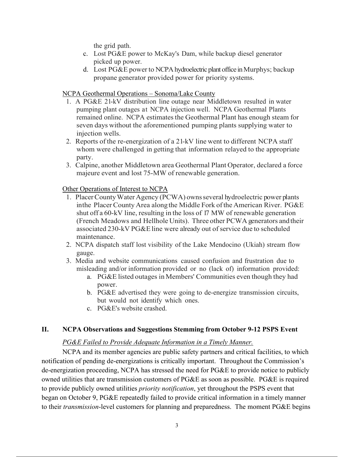the grid path.

- c. Lost PG&E power to McKay's Dam, while backup diesel generator picked up power.
- d. Lost PG&E power to NCPA hydroelectric plant office in Murphys; backup propane generator provided power for priority systems.

# NCPA Geothermal Operations – Sonoma/Lake County

- 1. A PG&E 21-kV distribution line outage near Middletown resulted in water pumping plant outages at NCPA injection well. NCPA Geothermal Plants remained online. NCPA estimates the Geothermal Plant has enough steam for seven days without the aforementioned pumping plants supplying water to injection wells.
- 2. Reports of the re-energization of a 21-kV line went to different NCPA staff whom were challenged in getting that information relayed to the appropriate party.
- 3. Calpine, another Middletown area Geothermal Plant Operator, declared a force majeure event and lost 75-MW of renewable generation.

#### Other Operations of Interest to NCPA

- 1. PlacerCountyWaterAgency (PCWA) ownsseveral hydroelectric power plants in the Placer County Area alongthe Middle Fork ofthe American River. PG&E shut off a 60-kV line, resulting in the loss of 17 MW of renewable generation (French Meadows and Hellhole Units). Three other PCWA generators andtheir associated 230-kV PG&E line were already out of service due to scheduled maintenance.
- 2. NCPA dispatch staff lost visibility of the Lake Mendocino (Ukiah) stream flow gauge.
- 3. Media and website communications caused confusion and frustration due to misleading and/or information provided or no (lack of) information provided:
	- a. PG&E listed outages in Members' Communities even though they had power.
	- b. PG&E advertised they were going to de-energize transmission circuits, but would not identify which ones.
	- c. PG&E's website crashed.

#### **II. NCPA Observations and Suggestions Stemming from October 9-12 PSPS Event**

# *PG&E Failed to Provide Adequate Information in a Timely Manner.*

NCPA and its member agencies are public safety partners and critical facilities, to which notification of pending de-energizations is critically important. Throughout the Commission's de-energization proceeding, NCPA has stressed the need for PG&E to provide notice to publicly owned utilities that are transmission customers of PG&E as soon as possible. PG&E is required to provide publicly owned utilities *priority notification*, yet throughout the PSPS event that began on October 9, PG&E repeatedly failed to provide critical information in a timely manner to their *transmission*-level customers for planning and preparedness. The moment PG&E begins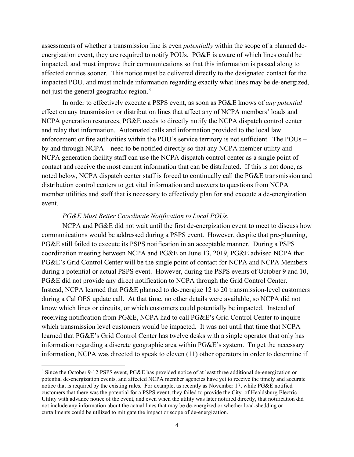assessments of whether a transmission line is even *potentially* within the scope of a planned deenergization event, they are required to notify POUs. PG&E is aware of which lines could be impacted, and must improve their communications so that this information is passed along to affected entities sooner. This notice must be delivered directly to the designated contact for the impacted POU, and must include information regarding exactly what lines may be de-energized, not just the general geographic region.<sup>3</sup>

In order to effectively execute a PSPS event, as soon as PG&E knows of *any potential* effect on any transmission or distribution lines that affect any of NCPA members' loads and NCPA generation resources, PG&E needs to directly notify the NCPA dispatch control center and relay that information. Automated calls and information provided to the local law enforcement or fire authorities within the POU's service territory is not sufficient. The POUs – by and through NCPA – need to be notified directly so that any NCPA member utility and NCPA generation facility staff can use the NCPA dispatch control center as a single point of contact and receive the most current information that can be distributed. If this is not done, as noted below, NCPA dispatch center staff is forced to continually call the PG&E transmission and distribution control centers to get vital information and answers to questions from NCPA member utilities and staff that is necessary to effectively plan for and execute a de-energization event.

#### *PG&E Must Better Coordinate Notification to Local POUs.*

NCPA and PG&E did not wait until the first de-energization event to meet to discuss how communications would be addressed during a PSPS event. However, despite that pre-planning, PG&E still failed to execute its PSPS notification in an acceptable manner. During a PSPS coordination meeting between NCPA and PG&E on June 13, 2019, PG&E advised NCPA that PG&E's Grid Control Center will be the single point of contact for NCPA and NCPA Members during a potential or actual PSPS event. However, during the PSPS events of October 9 and 10, PG&E did not provide any direct notification to NCPA through the Grid Control Center. Instead, NCPA learned that PG&E planned to de-energize 12 to 20 transmission-level customers during a Cal OES update call. At that time, no other details were available, so NCPA did not know which lines or circuits, or which customers could potentially be impacted. Instead of receiving notification from PG&E, NCPA had to call PG&E's Grid Control Center to inquire which transmission level customers would be impacted. It was not until that time that NCPA learned that PG&E's Grid Control Center has twelve desks with a single operator that only has information regarding a discrete geographic area within PG&E's system. To get the necessary information, NCPA was directed to speak to eleven (11) other operators in order to determine if

<sup>3</sup> Since the October 9-12 PSPS event, PG&E has provided notice of at least three additional de-energization or potential de-energization events, and affected NCPA member agencies have yet to receive the timely and accurate notice that is required by the existing rules. For example, as recently as November 17, while PG&E notified customers that there was the potential for a PSPS event, they failed to provide the City of Healdsburg Electric Utility with advance notice of the event, and even when the utility was later notified directly, that notification did not include any information about the actual lines that may be de-energized or whether load-shedding or curtailments could be utilized to mitigate the impact or scope of de-energization.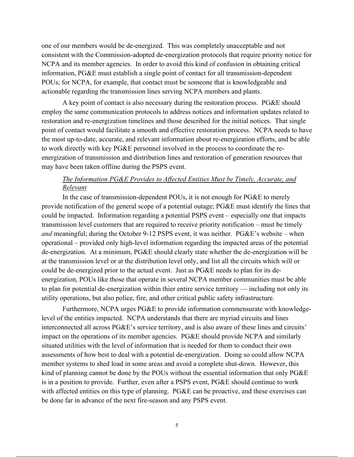one of our members would be de-energized. This was completely unacceptable and not consistent with the Commission-adopted de-energization protocols that require priority notice for NCPA and its member agencies. In order to avoid this kind of confusion in obtaining critical information, PG&E must establish a single point of contact for all transmission-dependent POUs; for NCPA, for example, that contact must be someone that is knowledgeable and actionable regarding the transmission lines serving NCPA members and plants.

A key point of contact is also necessary during the restoration process. PG&E should employ the same communication protocols to address notices and information updates related to restoration and re-energization timelines and those described for the initial notices. That single point of contact would facilitate a smooth and effective restoration process. NCPA needs to have the most up-to-date, accurate, and relevant information about re-energization efforts, and be able to work directly with key PG&E personnel involved in the process to coordinate the reenergization of transmission and distribution lines and restoration of generation resources that may have been taken offline during the PSPS event.

#### *The Information PG&E Provides to Affected Entities Must be Timely, Accurate, and Relevant*

In the case of transmission-dependent POUs, it is not enough for PG&E to merely provide notification of the general scope of a potential outage; PG&E must identify the lines that could be impacted. Information regarding a potential PSPS event – especially one that impacts transmission level customers that are required to receive priority notification – must be timely *and* meaningful; during the October 9-12 PSPS event, it was neither. PG&E's website – when operational – provided only high-level information regarding the impacted areas of the potential de-energization. At a minimum, PG&E should clearly state whether the de-energization will be at the transmission level or at the distribution level only, and list all the circuits which will or could be de-energized prior to the actual event. Just as PG&E needs to plan for its deenergization, POUs like those that operate in several NCPA member communities must be able to plan for potential de-energization within thier entire service territory — including not only its utility operations, but also police, fire, and other critical public safety infrastructure.

Furthermore, NCPA urges PG&E to provide information commensurate with knowledgelevel of the entities impacted. NCPA understands that there are myriad circuits and lines interconnected all across PG&E's service territory, and is also aware of these lines and circuits' impact on the operations of its member agencies. PG&E should provide NCPA and similarly situated utilities with the level of information that is needed for them to conduct their own assessments of how best to deal with a potential de-energization. Doing so could allow NCPA member systems to shed load in some areas and avoid a complete shut-down. However, this kind of planning cannot be done by the POUs without the essential information that only PG&E is in a position to provide. Further, even after a PSPS event, PG&E should continue to work with affected entities on this type of planning. PG&E can be proactive, and these exercises can be done far in advance of the next fire-season and any PSPS event.